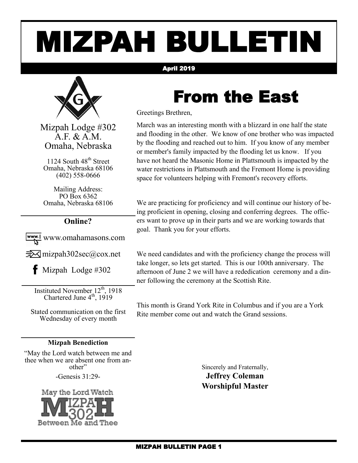# MIZPAH BULLETIN

#### April 2019



Mizpah Lodge #302 A.F. & A.M. Omaha, Nebraska

1124 South 48<sup>th</sup> Street Omaha, Nebraska 68106 (402) 558-0666

Mailing Address: PO Box 6362 Omaha, Nebraska 68106

#### **Online?**

www.omahamasons.com

 $\exists\forall$  mizpah302sec@cox.net

 $\bullet$  Mizpah Lodge #302

Instituted November 12<sup>th</sup>, 1918 Chartered June  $4<sup>th</sup>$ , 1919

Stated communication on the first Wednesday of every month

#### **Mizpah Benediction**

"May the Lord watch between me and thee when we are absent one from another"

-Genesis 31:29-



From the East

Greetings Brethren,

March was an interesting month with a blizzard in one half the state and flooding in the other. We know of one brother who was impacted by the flooding and reached out to him. If you know of any member or member's family impacted by the flooding let us know. If you have not heard the Masonic Home in Plattsmouth is impacted by the water restrictions in Plattsmouth and the Fremont Home is providing space for volunteers helping with Fremont's recovery efforts.

We are practicing for proficiency and will continue our history of being proficient in opening, closing and conferring degrees. The officers want to prove up in their parts and we are working towards that goal. Thank you for your efforts.

We need candidates and with the proficiency change the process will take longer, so lets get started. This is our 100th anniversary. The afternoon of June 2 we will have a rededication ceremony and a dinner following the ceremony at the Scottish Rite.

This month is Grand York Rite in Columbus and if you are a York Rite member come out and watch the Grand sessions.

Sincerely and Fraternally,

**Jeffrey Coleman Worshipful Master**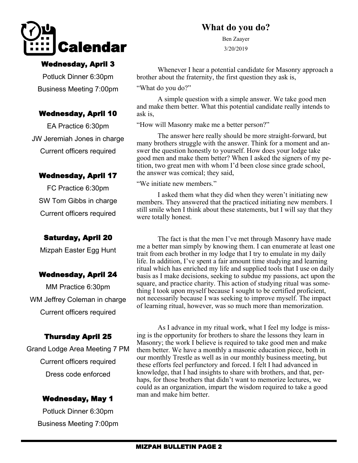

#### Wednesday, April 3

Potluck Dinner 6:30pm Business Meeting 7:00pm

#### Wednesday, April 10

EA Practice 6:30pm JW Jeremiah Jones in charge Current officers required

#### Wednesday, April 17

FC Practice 6:30pm SW Tom Gibbs in charge Current officers required

#### Saturday, April 20

Mizpah Easter Egg Hunt

#### Wednesday, April 24

MM Practice 6:30pm WM Jeffrey Coleman in charge Current officers required

#### Thursday April 25

Grand Lodge Area Meeting 7 PM Current officers required Dress code enforced

#### Wednesday, May 1

Potluck Dinner 6:30pm Business Meeting 7:00pm

### **What do you do?**

Ben Zaayer 3/20/2019

Whenever I hear a potential candidate for Masonry approach a brother about the fraternity, the first question they ask is,

"What do you do?"

A simple question with a simple answer. We take good men and make them better. What this potential candidate really intends to ask is,

"How will Masonry make me a better person?"

The answer here really should be more straight-forward, but many brothers struggle with the answer. Think for a moment and answer the question honestly to yourself. How does your lodge take good men and make them better? When I asked the signers of my petition, two great men with whom I'd been close since grade school, the answer was comical; they said,

"We initiate new members."

I asked them what they did when they weren't initiating new members. They answered that the practiced initiating new members. I still smile when I think about these statements, but I will say that they were totally honest.

The fact is that the men I've met through Masonry have made me a better man simply by knowing them. I can enumerate at least one trait from each brother in my lodge that I try to emulate in my daily life. In addition, I've spent a fair amount time studying and learning ritual which has enriched my life and supplied tools that I use on daily basis as I make decisions, seeking to subdue my passions, act upon the square, and practice charity. This action of studying ritual was something I took upon myself because I sought to be certified proficient, not necessarily because I was seeking to improve myself. The impact of learning ritual, however, was so much more than memorization.

As I advance in my ritual work, what I feel my lodge is missing is the opportunity for brothers to share the lessons they learn in Masonry; the work I believe is required to take good men and make them better. We have a monthly a masonic education piece, both in our monthly Trestle as well as in our monthly business meeting, but these efforts feel perfunctory and forced. I felt I had advanced in knowledge, that I had insights to share with brothers, and that, perhaps, for those brothers that didn't want to memorize lectures, we could as an organization, impart the wisdom required to take a good man and make him better.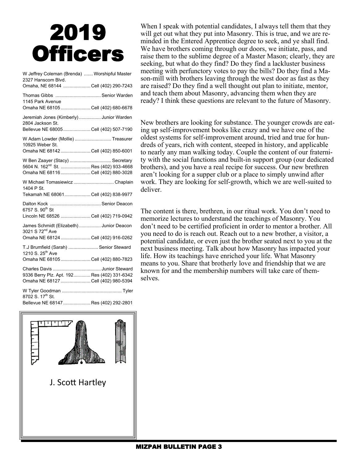# 2019 **Officers**

| W Jeffrey Coleman (Brenda)  Worshipful Master<br>2327 Hanscom Blvd.                                                         |  |
|-----------------------------------------------------------------------------------------------------------------------------|--|
| Omaha, NE 68144 Cell (402) 290-7243                                                                                         |  |
| Thomas Gibbs  Senior Warden<br>1145 Park Avenue                                                                             |  |
| Omaha NE 68105  Cell (402) 680-6678                                                                                         |  |
| Jeremiah Jones (Kimberly) Junior Warden<br>2804 Jackson St.<br>Bellevue NE 68005  Cell (402) 507-7190                       |  |
|                                                                                                                             |  |
| W Adam Lowder (Mollie)  Treasurer<br>10925 Weber St.                                                                        |  |
| Omaha NE 68142 Cell (402) 850-6001                                                                                          |  |
| W Ben Zaayer (Stacy)  Secretary<br>5604 N. 162 <sup>nd</sup> St.  Res (402) 933-4668<br>Omaha NE 68116  Cell (402) 880-3028 |  |
| W Michael Tomasiewicz  Chaplain<br>1404 P St.                                                                               |  |
| Tekamah NE 68061Cell (402) 838-9977                                                                                         |  |
| 6757 S. 90 <sup>th</sup> St                                                                                                 |  |
| Lincoln NE 68526 Cell (402) 719-0942                                                                                        |  |
| James Schmidt (Elizabeth) Junior Deacon<br>3021 S 72 <sup>nd</sup> Ave                                                      |  |
| Omaha NE 68124 Cell (402) 916-0262                                                                                          |  |
| T.J Brumfield (Sarah)  Senior Steward<br>1210 S. 25 <sup>th</sup> Ave                                                       |  |
| Omaha NE 68105  Cell (402) 880-7823                                                                                         |  |
| 9336 Berry Plz. Apt. 192 Res (402) 331-6342                                                                                 |  |
| Omaha NE 68127 Cell (402) 980-5394                                                                                          |  |
|                                                                                                                             |  |
| 8702 S. 17th St.<br>Bellevue NE 68147  Res (402) 292-2801                                                                   |  |

When I speak with potential candidates, I always tell them that they will get out what they put into Masonry. This is true, and we are reminded in the Entered Apprentice degree to seek, and ye shall find. We have brothers coming through our doors, we initiate, pass, and raise them to the sublime degree of a Master Mason; clearly, they are seeking, but what do they find? Do they find a lackluster business meeting with perfunctory votes to pay the bills? Do they find a Mason-mill with brothers leaving through the west door as fast as they are raised? Do they find a well thought out plan to initiate, mentor, and teach them about Masonry, advancing them when they are ready? I think these questions are relevant to the future of Masonry.

New brothers are looking for substance. The younger crowds are eating up self-improvement books like crazy and we have one of the oldest systems for self-improvement around, tried and true for hundreds of years, rich with content, steeped in history, and applicable to nearly any man walking today. Couple the content of our fraternity with the social functions and built-in support group (our dedicated brothers), and you have a real recipe for success. Our new brethren aren't looking for a supper club or a place to simply unwind after work. They are looking for self-growth, which we are well-suited to deliver.

The content is there, brethren, in our ritual work. You don't need to memorize lectures to understand the teachings of Masonry. You don't need to be certified proficient in order to mentor a brother. All you need to do is reach out. Reach out to a new brother, a visitor, a potential candidate, or even just the brother seated next to you at the next business meeting. Talk about how Masonry has impacted your life. How its teachings have enriched your life. What Masonry means to you. Share that brotherly love and friendship that we are known for and the membership numbers will take care of themselves.